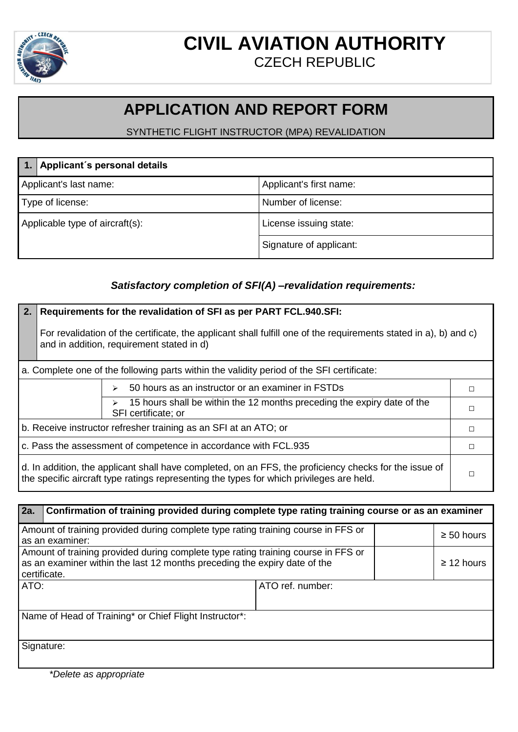

### **CIVIL AVIATION AUTHORITY** CZECH REPUBLIC

## **APPLICATION AND REPORT FORM**

### SYNTHETIC FLIGHT INSTRUCTOR (MPA) REVALIDATION

| Applicant's personal details    |                         |
|---------------------------------|-------------------------|
| Applicant's last name:          | Applicant's first name: |
| Type of license:                | Number of license:      |
| Applicable type of aircraft(s): | License issuing state:  |
|                                 | Signature of applicant: |

#### *Satisfactory completion of SFI(A) –revalidation requirements:*

#### **2. Requirements for the revalidation of SFI as per PART FCL.940.SFI:**

For revalidation of the certificate, the applicant shall fulfill one of the requirements stated in a), b) and c) and in addition, requirement stated in d)

a. Complete one of the following parts within the validity period of the SFI certificate:

| $\geq$ 50 hours as an instructor or an examiner in FSTDs<br>$\geq$ 15 hours shall be within the 12 months preceding the expiry date of the |  |
|--------------------------------------------------------------------------------------------------------------------------------------------|--|
| SFI certificate; or                                                                                                                        |  |
|                                                                                                                                            |  |

b. Receive instructor refresher training as an SFI at an ATO; or □ □ □ □ □ □ □ □

c. Pass the assessment of competence in accordance with FCL.935  $\Box$ 

d. In addition, the applicant shall have completed, on an FFS, the proficiency checks for the issue of the specific aircraft type ratings representing the types for which privileges are held.  $□$ 

| <b>2a.</b>                                                                                                                                                                     | Confirmation of training provided during complete type rating training course or as an examiner |                  |                 |
|--------------------------------------------------------------------------------------------------------------------------------------------------------------------------------|-------------------------------------------------------------------------------------------------|------------------|-----------------|
| Amount of training provided during complete type rating training course in FFS or<br>as an examiner:                                                                           |                                                                                                 |                  | $\geq 50$ hours |
| Amount of training provided during complete type rating training course in FFS or<br>as an examiner within the last 12 months preceding the expiry date of the<br>certificate. |                                                                                                 |                  | $\geq$ 12 hours |
| ATO:                                                                                                                                                                           |                                                                                                 | ATO ref. number: |                 |
|                                                                                                                                                                                | Name of Head of Training* or Chief Flight Instructor*:                                          |                  |                 |
|                                                                                                                                                                                | Signature:                                                                                      |                  |                 |

*\*Delete as appropriate*